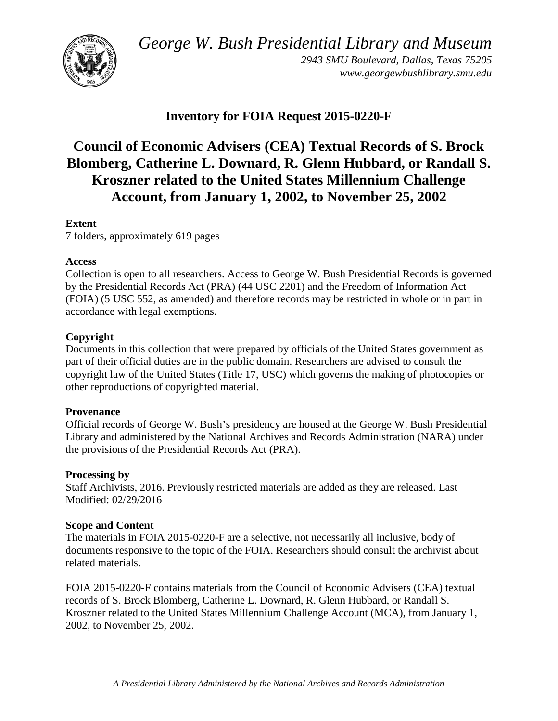*George W. Bush Presidential Library and Museum* 



 *2943 SMU Boulevard, Dallas, Texas 75205 <www.georgewbushlibrary.smu.edu>*

# **Inventory for FOIA Request 2015-0220-F**

# **Council of Economic Advisers (CEA) Textual Records of S. Brock Blomberg, Catherine L. Downard, R. Glenn Hubbard, or Randall S. Kroszner related to the United States Millennium Challenge Account, from January 1, 2002, to November 25, 2002**

## **Extent**

7 folders, approximately 619 pages

## **Access**

 by the Presidential Records Act (PRA) (44 USC 2201) and the Freedom of Information Act Collection is open to all researchers. Access to George W. Bush Presidential Records is governed (FOIA) (5 USC 552, as amended) and therefore records may be restricted in whole or in part in accordance with legal exemptions.

## **Copyright**

 Documents in this collection that were prepared by officials of the United States government as part of their official duties are in the public domain. Researchers are advised to consult the copyright law of the United States (Title 17, USC) which governs the making of photocopies or other reproductions of copyrighted material.

## **Provenance**

 Official records of George W. Bush's presidency are housed at the George W. Bush Presidential Library and administered by the National Archives and Records Administration (NARA) under the provisions of the Presidential Records Act (PRA).

## **Processing by**

 Modified: 02/29/2016 Staff Archivists, 2016. Previously restricted materials are added as they are released. Last

## **Scope and Content**

The materials in FOIA 2015-0220-F are a selective, not necessarily all inclusive, body of documents responsive to the topic of the FOIA. Researchers should consult the archivist about related materials.

 Kroszner related to the United States Millennium Challenge Account (MCA), from January 1, FOIA 2015-0220-F contains materials from the Council of Economic Advisers (CEA) textual records of S. Brock Blomberg, Catherine L. Downard, R. Glenn Hubbard, or Randall S. 2002, to November 25, 2002.